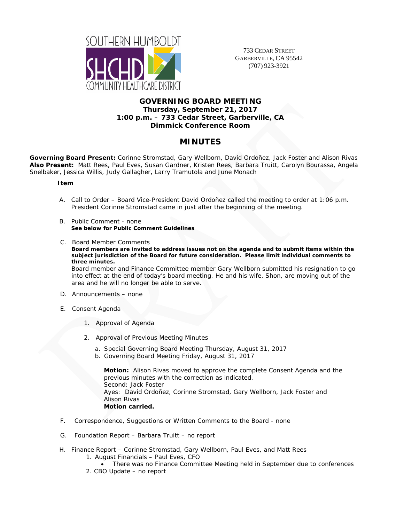

733 CEDAR STREET GARBERVILLE, CA 95542 (707) 923-3921

## **GOVERNING BOARD MEETING Thursday, September 21, 2017 1:00 p.m. – 733 Cedar Street, Garberville, CA Dimmick Conference Room**

# **MINUTES**

**Governing Board Present:** Corinne Stromstad, Gary Wellborn, David Ordoñez, Jack Foster and Alison Rivas **Also Present:** Matt Rees, Paul Eves, Susan Gardner, Kristen Rees, Barbara Truitt, Carolyn Bourassa, Angela Snelbaker, Jessica Willis, Judy Gallagher, Larry Tramutola and June Monach

### **Item**

- A. Call to Order Board Vice-President David Ordoñez called the meeting to order at 1:06 p.m. President Corinne Stromstad came in just after the beginning of the meeting.
- B. Public Comment none **See below for Public Comment Guidelines**
- C. Board Member Comments

**Board members are invited to address issues not on the agenda and to submit items within the subject jurisdiction of the Board for future consideration. Please limit individual comments to three minutes.** 

Board member and Finance Committee member Gary Wellborn submitted his resignation to go into effect at the end of today's board meeting. He and his wife, Shon, are moving out of the area and he will no longer be able to serve.

- D. Announcements none
- E. Consent Agenda
	- 1. Approval of Agenda
	- 2. Approval of Previous Meeting Minutes
		- a. Special Governing Board Meeting Thursday, August 31, 2017
		- b. Governing Board Meeting Friday, August 31, 2017

**Motion:** Alison Rivas moved to approve the complete Consent Agenda and the previous minutes with the correction as indicated. Second: Jack Foster Ayes: David Ordoñez, Corinne Stromstad, Gary Wellborn, Jack Foster and Alison Rivas **Motion carried.** 

- F. Correspondence, Suggestions or Written Comments to the Board none
- G. Foundation Report Barbara Truitt no report
- H. Finance Report Corinne Stromstad, Gary Wellborn, Paul Eves, and Matt Rees 1. August Financials – Paul Eves, CFO
	- There was no Finance Committee Meeting held in September due to conferences
	- 2. CBO Update no report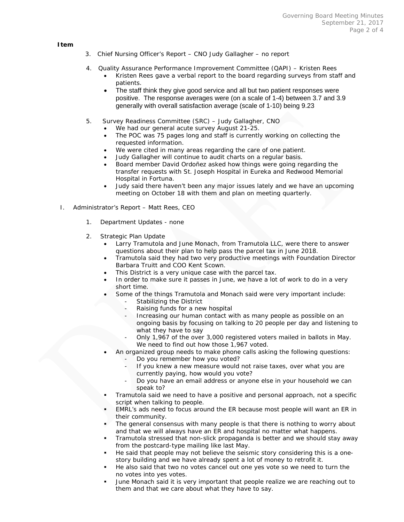#### **Item**

- 3. Chief Nursing Officer's Report CNO Judy Gallagher no report
- 4. Quality Assurance Performance Improvement Committee (QAPI) Kristen Rees
	- Kristen Rees gave a verbal report to the board regarding surveys from staff and patients.
	- The staff think they give good service and all but two patient responses were positive. The response averages were (on a scale of 1-4) between 3.7 and 3.9 generally with overall satisfaction average (scale of 1-10) being 9.23
- 5. Survey Readiness Committee (SRC) Judy Gallagher, CNO
	- We had our general acute survey August 21-25.
	- The POC was 75 pages long and staff is currently working on collecting the requested information.
	- We were cited in many areas regarding the care of one patient.
	- Judy Gallagher will continue to audit charts on a regular basis.
	- Board member David Ordoñez asked how things were going regarding the transfer requests with St. Joseph Hospital in Eureka and Redwood Memorial Hospital in Fortuna.
	- Judy said there haven't been any major issues lately and we have an upcoming meeting on October 18 with them and plan on meeting quarterly.
- I. Administrator's Report Matt Rees, CEO
	- 1. Department Updates none
	- 2. Strategic Plan Update
		- Larry Tramutola and June Monach, from Tramutola LLC, were there to answer questions about their plan to help pass the parcel tax in June 2018.
		- Tramutola said they had two very productive meetings with Foundation Director Barbara Truitt and COO Kent Scown.
		- This District is a very unique case with the parcel tax.
		- In order to make sure it passes in June, we have a lot of work to do in a very short time.
		- Some of the things Tramutola and Monach said were very important include:
			- Stabilizing the District
				- Raising funds for a new hospital
			- Increasing our human contact with as many people as possible on an ongoing basis by focusing on talking to 20 people per day and listening to what they have to say
			- Only 1,967 of the over 3,000 registered voters mailed in ballots in May. We need to find out how those 1,967 voted.
		- An organized group needs to make phone calls asking the following questions:
			- Do you remember how you voted?
			- If you knew a new measure would not raise taxes, over what you are currently paying, how would you vote?
			- Do you have an email address or anyone else in your household we can speak to?
		- Tramutola said we need to have a positive and personal approach, not a specific script when talking to people.
		- EMRL's ads need to focus around the ER because most people will want an ER in their community.
		- The general consensus with many people is that there is nothing to worry about and that we will always have an ER and hospital no matter what happens.
		- Tramutola stressed that non-slick propaganda is better and we should stay away from the postcard-type mailing like last May.
		- He said that people may not believe the seismic story considering this is a onestory building and we have already spent a lot of money to retrofit it.
		- He also said that two no votes cancel out one yes vote so we need to turn the no votes into yes votes.
		- June Monach said it is very important that people realize we are reaching out to them and that we care about what they have to say.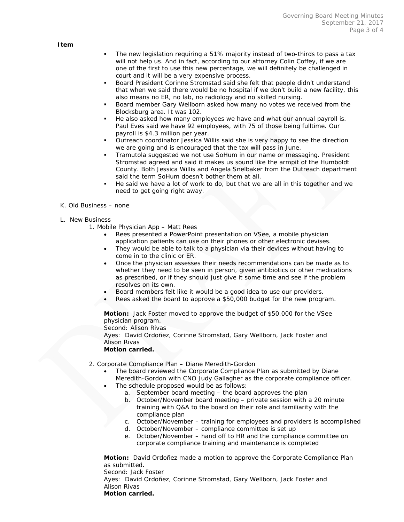**Item** 

- The new legislation requiring a 51% majority instead of two-thirds to pass a tax will not help us. And in fact, according to our attorney Colin Coffey, if we are one of the first to use this new percentage, we will definitely be challenged in court and it will be a very expensive process.
- Board President Corinne Stromstad said she felt that people didn't understand that when we said there would be no hospital if we don't build a new facility, this also means no ER, no lab, no radiology and no skilled nursing.
- Board member Gary Wellborn asked how many no votes we received from the Blocksburg area. It was 102.
- He also asked how many employees we have and what our annual payroll is. Paul Eves said we have 92 employees, with 75 of those being fulltime. Our payroll is \$4.3 million per year.
- Outreach coordinator Jessica Willis said she is very happy to see the direction we are going and is encouraged that the tax will pass in June.
- Tramutola suggested we not use SoHum in our name or messaging. President Stromstad agreed and said it makes us sound like the armpit of the Humboldt County. Both Jessica Willis and Angela Snelbaker from the Outreach department said the term SoHum doesn't bother them at all.
- He said we have a lot of work to do, but that we are all in this together and we need to get going right away.
- K. Old Business none
- L. New Business
	- 1. Mobile Physician App Matt Rees
		- Rees presented a PowerPoint presentation on VSee, a mobile physician application patients can use on their phones or other electronic devises.
		- They would be able to talk to a physician via their devices without having to come in to the clinic or ER.
		- Once the physician assesses their needs recommendations can be made as to whether they need to be seen in person, given antibiotics or other medications as prescribed, or if they should just give it some time and see if the problem resolves on its own.
		- Board members felt like it would be a good idea to use our providers.
		- Rees asked the board to approve a \$50,000 budget for the new program.

**Motion:** Jack Foster moved to approve the budget of \$50,000 for the VSee physician program.

Second: Alison Rivas

Ayes: David Ordoñez, Corinne Stromstad, Gary Wellborn, Jack Foster and Alison Rivas

**Motion carried.** 

- 2. Corporate Compliance Plan Diane Meredith-Gordon
	- The board reviewed the Corporate Compliance Plan as submitted by Diane Meredith-Gordon with CNO Judy Gallagher as the corporate compliance officer.
	- The schedule proposed would be as follows:
		- a. September board meeting the board approves the plan
		- b. October/November board meeting private session with a 20 minute training with Q&A to the board on their role and familiarity with the compliance plan
		- c. October/November training for employees and providers is accomplished
		- d. October/November compliance committee is set up
		- e. October/November hand off to HR and the compliance committee on corporate compliance training and maintenance is completed

**Motion:** David Ordoñez made a motion to approve the Corporate Compliance Plan as submitted. Second: Jack Foster

Ayes: David Ordoñez, Corinne Stromstad, Gary Wellborn, Jack Foster and Alison Rivas **Motion carried.**